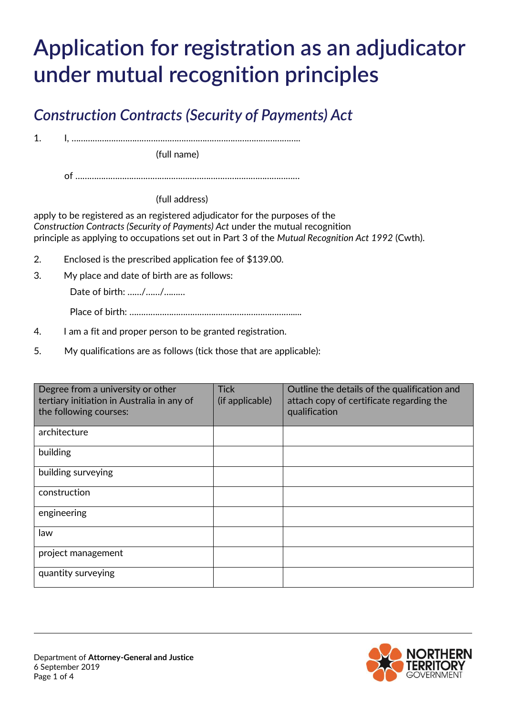# **Application for registration as an adjudicator under mutual recognition principles**

## *Construction Contracts (Security of Payments) Act*

1. I, ……………………………………………………………………………………..

(full name)

of ……………………………………………………………………………………

(full address)

apply to be registered as an registered adjudicator for the purposes of the *Construction Contracts (Security of Payments) Act* under the mutual recognition principle as applying to occupations set out in Part 3 of the *Mutual Recognition Act 1992* (Cwth).

- 2. Enclosed is the prescribed application fee of \$139.00.
- 3. My place and date of birth are as follows:

Date of birth: ……/……/………

Place of birth: …………………………………………………………….....

- 4. I am a fit and proper person to be granted registration.
- 5. My qualifications are as follows (tick those that are applicable):

| Degree from a university or other<br>tertiary initiation in Australia in any of<br>the following courses: | <b>Tick</b><br>(if applicable) | Outline the details of the qualification and<br>attach copy of certificate regarding the<br>qualification |
|-----------------------------------------------------------------------------------------------------------|--------------------------------|-----------------------------------------------------------------------------------------------------------|
| architecture                                                                                              |                                |                                                                                                           |
| building                                                                                                  |                                |                                                                                                           |
| building surveying                                                                                        |                                |                                                                                                           |
| construction                                                                                              |                                |                                                                                                           |
| engineering                                                                                               |                                |                                                                                                           |
| law                                                                                                       |                                |                                                                                                           |
| project management                                                                                        |                                |                                                                                                           |
| quantity surveying                                                                                        |                                |                                                                                                           |

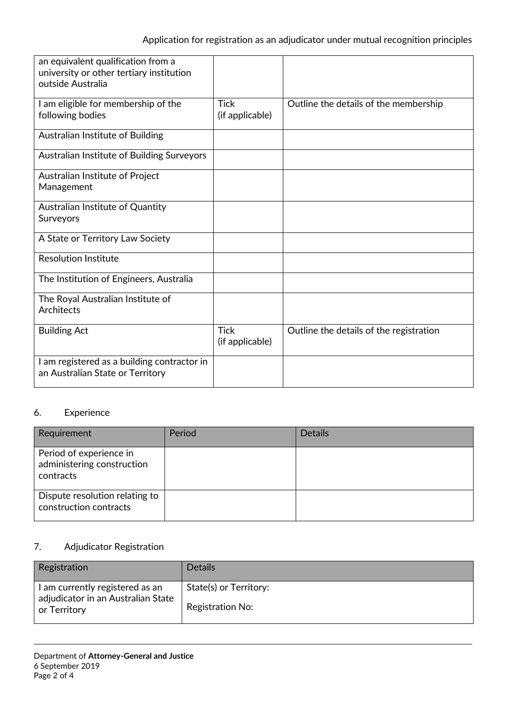| an equivalent qualification from a<br>university or other tertiary institution<br>outside Australia |                                |                                         |
|-----------------------------------------------------------------------------------------------------|--------------------------------|-----------------------------------------|
| I am eligible for membership of the<br>following bodies                                             | <b>Tick</b><br>(if applicable) | Outline the details of the membership   |
| Australian Institute of Building                                                                    |                                |                                         |
| Australian Institute of Building Surveyors                                                          |                                |                                         |
| Australian Institute of Project<br>Management                                                       |                                |                                         |
| Australian Institute of Quantity<br>Surveyors                                                       |                                |                                         |
| A State or Territory Law Society                                                                    |                                |                                         |
| <b>Resolution Institute</b>                                                                         |                                |                                         |
| The Institution of Engineers, Australia                                                             |                                |                                         |
| The Royal Australian Institute of<br><b>Architects</b>                                              |                                |                                         |
| <b>Building Act</b>                                                                                 | <b>Tick</b><br>(if applicable) | Outline the details of the registration |
| I am registered as a building contractor in<br>an Australian State or Territory                     |                                |                                         |

#### 6. Experience

| Requirement                                                        | Period | <b>Details</b> |
|--------------------------------------------------------------------|--------|----------------|
| Period of experience in<br>administering construction<br>contracts |        |                |
| Dispute resolution relating to<br>construction contracts           |        |                |

### 7. Adjudicator Registration

| Registration                                                                          | <b>Details</b>                             |
|---------------------------------------------------------------------------------------|--------------------------------------------|
| I am currently registered as an<br>adjudicator in an Australian State<br>or Territory | State(s) or Territory:<br>Registration No: |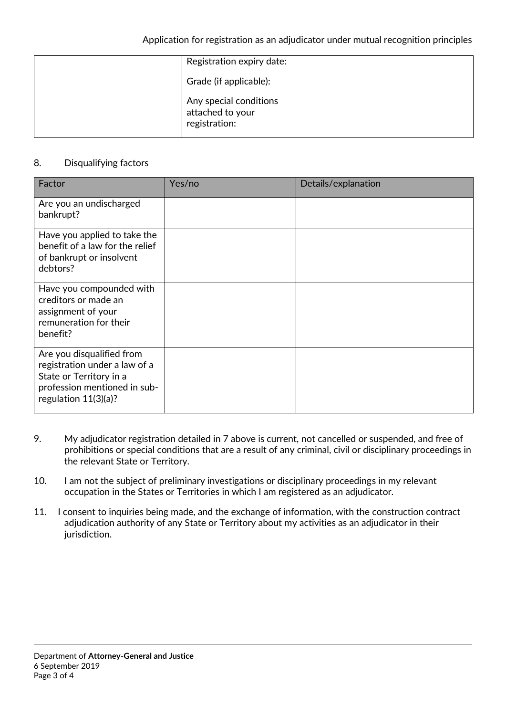| Registration expiry date:                                   |
|-------------------------------------------------------------|
| Grade (if applicable):                                      |
| Any special conditions<br>attached to your<br>registration: |

#### 8. Disqualifying factors

| Factor                                                                                                                                           | Yes/no | Details/explanation |
|--------------------------------------------------------------------------------------------------------------------------------------------------|--------|---------------------|
| Are you an undischarged<br>bankrupt?                                                                                                             |        |                     |
| Have you applied to take the<br>benefit of a law for the relief<br>of bankrupt or insolvent<br>debtors?                                          |        |                     |
| Have you compounded with<br>creditors or made an<br>assignment of your<br>remuneration for their<br>benefit?                                     |        |                     |
| Are you disqualified from<br>registration under a law of a<br>State or Territory in a<br>profession mentioned in sub-<br>regulation $11(3)(a)$ ? |        |                     |

- 9. My adjudicator registration detailed in 7 above is current, not cancelled or suspended, and free of prohibitions or special conditions that are a result of any criminal, civil or disciplinary proceedings in the relevant State or Territory.
- 10. I am not the subject of preliminary investigations or disciplinary proceedings in my relevant occupation in the States or Territories in which I am registered as an adjudicator.
- 11. I consent to inquiries being made, and the exchange of information, with the construction contract adjudication authority of any State or Territory about my activities as an adjudicator in their jurisdiction.